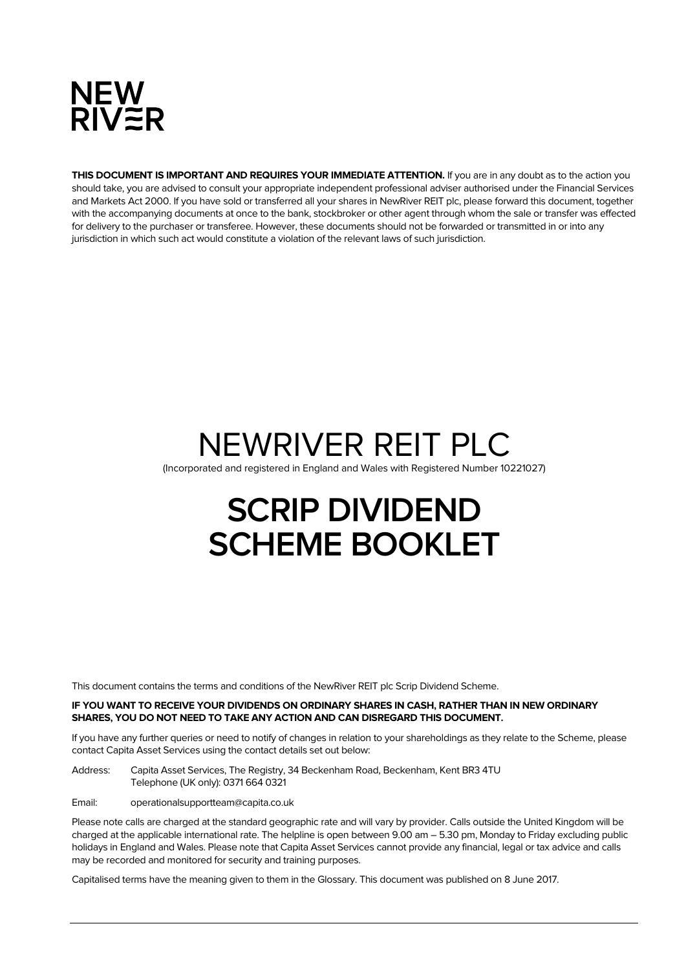

**THIS DOCUMENT IS IMPORTANT AND REQUIRES YOUR IMMEDIATE ATTENTION.** If you are in any doubt as to the action you should take, you are advised to consult your appropriate independent professional adviser authorised under the Financial Services and Markets Act 2000. If you have sold or transferred all your shares in NewRiver REIT plc, please forward this document, together with the accompanying documents at once to the bank, stockbroker or other agent through whom the sale or transfer was effected for delivery to the purchaser or transferee. However, these documents should not be forwarded or transmitted in or into any jurisdiction in which such act would constitute a violation of the relevant laws of such jurisdiction.

# NEWRIVER REIT PLC (Incorporated and registered in England and Wales with Registered Number 10221027)

# **SCRIP DIVIDEND SCHEME BOOKLET**

This document contains the terms and conditions of the NewRiver REIT plc Scrip Dividend Scheme.

#### **IF YOU WANT TO RECEIVE YOUR DIVIDENDS ON ORDINARY SHARES IN CASH, RATHER THAN IN NEW ORDINARY SHARES, YOU DO NOT NEED TO TAKE ANY ACTION AND CAN DISREGARD THIS DOCUMENT.**

If you have any further queries or need to notify of changes in relation to your shareholdings as they relate to the Scheme, please contact Capita Asset Services using the contact details set out below:

Address: Capita Asset Services, The Registry, 34 Beckenham Road, Beckenham, Kent BR3 4TU Telephone (UK only): 0371 664 0321

Email: operationalsupportteam@capita.co.uk

Please note calls are charged at the standard geographic rate and will vary by provider. Calls outside the United Kingdom will be charged at the applicable international rate. The helpline is open between 9.00 am – 5.30 pm, Monday to Friday excluding public holidays in England and Wales. Please note that Capita Asset Services cannot provide any financial, legal or tax advice and calls may be recorded and monitored for security and training purposes.

Capitalised terms have the meaning given to them in the Glossary. This document was published on 8 June 2017.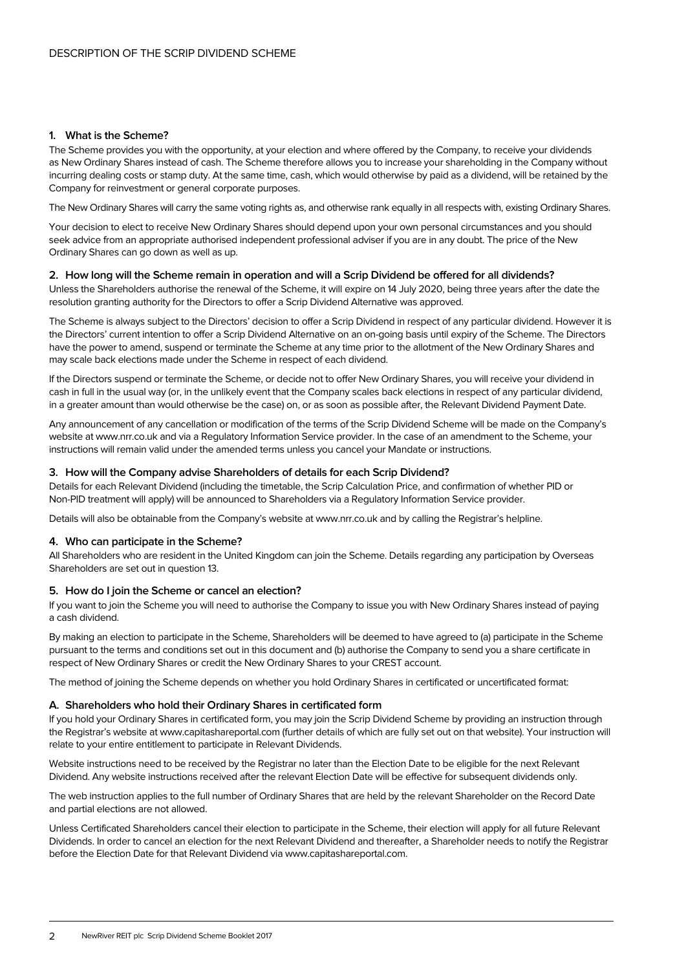# **1. What is the Scheme?**

The Scheme provides you with the opportunity, at your election and where offered by the Company, to receive your dividends as New Ordinary Shares instead of cash. The Scheme therefore allows you to increase your shareholding in the Company without incurring dealing costs or stamp duty. At the same time, cash, which would otherwise by paid as a dividend, will be retained by the Company for reinvestment or general corporate purposes.

The New Ordinary Shares will carry the same voting rights as, and otherwise rank equally in all respects with, existing Ordinary Shares.

Your decision to elect to receive New Ordinary Shares should depend upon your own personal circumstances and you should seek advice from an appropriate authorised independent professional adviser if you are in any doubt. The price of the New Ordinary Shares can go down as well as up.

# **2. How long will the Scheme remain in operation and will a Scrip Dividend be offered for all dividends?**

Unless the Shareholders authorise the renewal of the Scheme, it will expire on 14 July 2020, being three years after the date the resolution granting authority for the Directors to offer a Scrip Dividend Alternative was approved.

The Scheme is always subject to the Directors' decision to offer a Scrip Dividend in respect of any particular dividend. However it is the Directors' current intention to offer a Scrip Dividend Alternative on an on-going basis until expiry of the Scheme. The Directors have the power to amend, suspend or terminate the Scheme at any time prior to the allotment of the New Ordinary Shares and may scale back elections made under the Scheme in respect of each dividend.

If the Directors suspend or terminate the Scheme, or decide not to offer New Ordinary Shares, you will receive your dividend in cash in full in the usual way (or, in the unlikely event that the Company scales back elections in respect of any particular dividend, in a greater amount than would otherwise be the case) on, or as soon as possible after, the Relevant Dividend Payment Date.

Any announcement of any cancellation or modification of the terms of the Scrip Dividend Scheme will be made on the Company's website at www.nrr.co.uk and via a Regulatory Information Service provider. In the case of an amendment to the Scheme, your instructions will remain valid under the amended terms unless you cancel your Mandate or instructions.

# **3. How will the Company advise Shareholders of details for each Scrip Dividend?**

Details for each Relevant Dividend (including the timetable, the Scrip Calculation Price, and confirmation of whether PID or Non-PID treatment will apply) will be announced to Shareholders via a Regulatory Information Service provider.

Details will also be obtainable from the Company's website at www.nrr.co.uk and by calling the Registrar's helpline.

# **4. Who can participate in the Scheme?**

All Shareholders who are resident in the United Kingdom can join the Scheme. Details regarding any participation by Overseas Shareholders are set out in question 13.

# **5. How do I join the Scheme or cancel an election?**

If you want to join the Scheme you will need to authorise the Company to issue you with New Ordinary Shares instead of paying a cash dividend.

By making an election to participate in the Scheme, Shareholders will be deemed to have agreed to (a) participate in the Scheme pursuant to the terms and conditions set out in this document and (b) authorise the Company to send you a share certificate in respect of New Ordinary Shares or credit the New Ordinary Shares to your CREST account.

The method of joining the Scheme depends on whether you hold Ordinary Shares in certificated or uncertificated format:

# **A. Shareholders who hold their Ordinary Shares in certificated form**

If you hold your Ordinary Shares in certificated form, you may join the Scrip Dividend Scheme by providing an instruction through the Registrar's website at www.capitashareportal.com (further details of which are fully set out on that website). Your instruction will relate to your entire entitlement to participate in Relevant Dividends.

Website instructions need to be received by the Registrar no later than the Election Date to be eligible for the next Relevant Dividend. Any website instructions received after the relevant Election Date will be effective for subsequent dividends only.

The web instruction applies to the full number of Ordinary Shares that are held by the relevant Shareholder on the Record Date and partial elections are not allowed.

Unless Certificated Shareholders cancel their election to participate in the Scheme, their election will apply for all future Relevant Dividends. In order to cancel an election for the next Relevant Dividend and thereafter, a Shareholder needs to notify the Registrar before the Election Date for that Relevant Dividend via www.capitashareportal.com.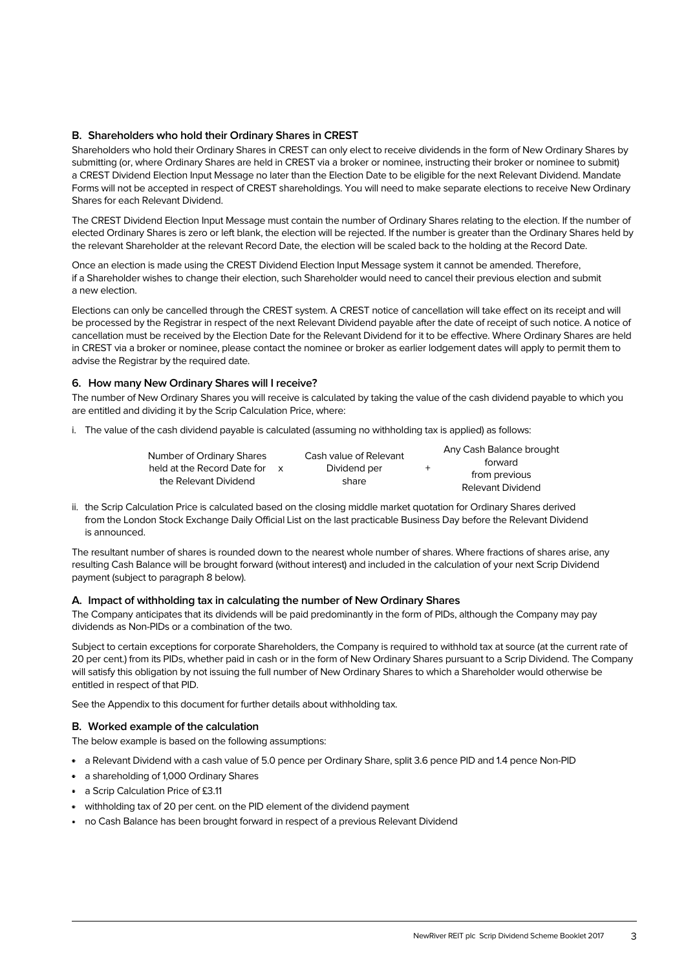# **B. Shareholders who hold their Ordinary Shares in CREST**

Shareholders who hold their Ordinary Shares in CREST can only elect to receive dividends in the form of New Ordinary Shares by submitting (or, where Ordinary Shares are held in CREST via a broker or nominee, instructing their broker or nominee to submit) a CREST Dividend Election Input Message no later than the Election Date to be eligible for the next Relevant Dividend. Mandate Forms will not be accepted in respect of CREST shareholdings. You will need to make separate elections to receive New Ordinary Shares for each Relevant Dividend.

The CREST Dividend Election Input Message must contain the number of Ordinary Shares relating to the election. If the number of elected Ordinary Shares is zero or left blank, the election will be rejected. If the number is greater than the Ordinary Shares held by the relevant Shareholder at the relevant Record Date, the election will be scaled back to the holding at the Record Date.

Once an election is made using the CREST Dividend Election Input Message system it cannot be amended. Therefore, if a Shareholder wishes to change their election, such Shareholder would need to cancel their previous election and submit a new election.

Elections can only be cancelled through the CREST system. A CREST notice of cancellation will take effect on its receipt and will be processed by the Registrar in respect of the next Relevant Dividend payable after the date of receipt of such notice. A notice of cancellation must be received by the Election Date for the Relevant Dividend for it to be effective. Where Ordinary Shares are held in CREST via a broker or nominee, please contact the nominee or broker as earlier lodgement dates will apply to permit them to advise the Registrar by the required date.

# **6. How many New Ordinary Shares will I receive?**

The number of New Ordinary Shares you will receive is calculated by taking the value of the cash dividend payable to which you are entitled and dividing it by the Scrip Calculation Price, where:

i. The value of the cash dividend payable is calculated (assuming no withholding tax is applied) as follows:

| Number of Ordinary Shares<br>held at the Record Date for<br>the Relevant Dividend |  | Cash value of Relevant |  | Any Cash Balance brought<br>forward |  |
|-----------------------------------------------------------------------------------|--|------------------------|--|-------------------------------------|--|
|                                                                                   |  | Dividend per           |  | from previous                       |  |
|                                                                                   |  | share                  |  | Relevant Dividend                   |  |

ii. the Scrip Calculation Price is calculated based on the closing middle market quotation for Ordinary Shares derived from the London Stock Exchange Daily Official List on the last practicable Business Day before the Relevant Dividend is announced.

The resultant number of shares is rounded down to the nearest whole number of shares. Where fractions of shares arise, any resulting Cash Balance will be brought forward (without interest) and included in the calculation of your next Scrip Dividend payment (subject to paragraph 8 below).

# **A. Impact of withholding tax in calculating the number of New Ordinary Shares**

The Company anticipates that its dividends will be paid predominantly in the form of PIDs, although the Company may pay dividends as Non-PIDs or a combination of the two.

Subject to certain exceptions for corporate Shareholders, the Company is required to withhold tax at source (at the current rate of 20 per cent.) from its PIDs, whether paid in cash or in the form of New Ordinary Shares pursuant to a Scrip Dividend. The Company will satisfy this obligation by not issuing the full number of New Ordinary Shares to which a Shareholder would otherwise be entitled in respect of that PID.

See the Appendix to this document for further details about withholding tax.

# **B. Worked example of the calculation**

The below example is based on the following assumptions:

- a Relevant Dividend with a cash value of 5.0 pence per Ordinary Share, split 3.6 pence PID and 1.4 pence Non-PID
- a shareholding of 1,000 Ordinary Shares
- a Scrip Calculation Price of £3.11
- withholding tax of 20 per cent. on the PID element of the dividend payment
- no Cash Balance has been brought forward in respect of a previous Relevant Dividend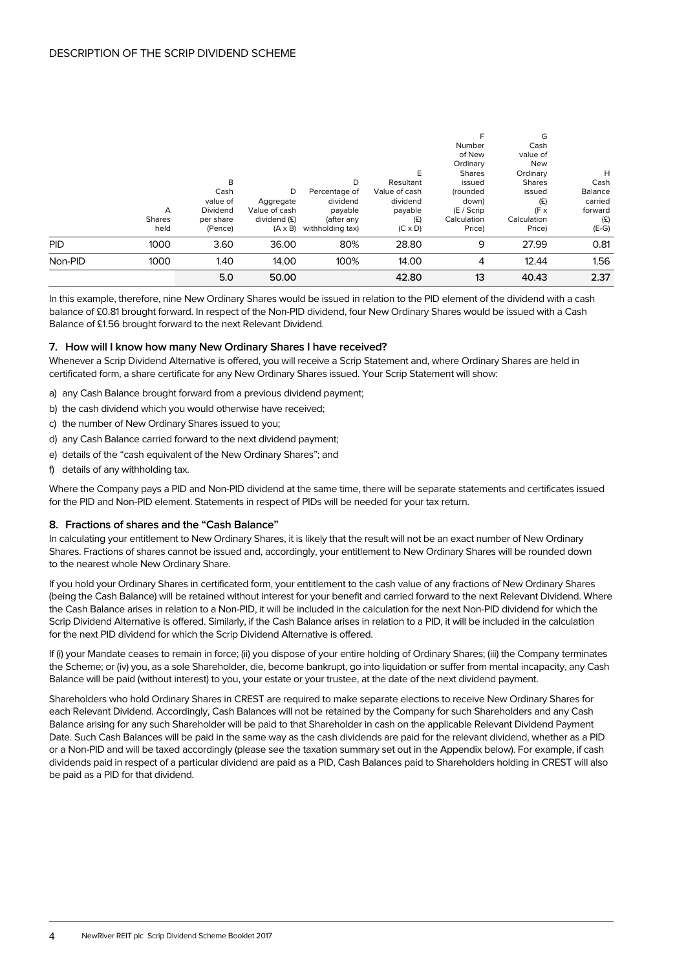|            |               |           |                |                  |                |               | G             |         |
|------------|---------------|-----------|----------------|------------------|----------------|---------------|---------------|---------|
|            |               |           |                |                  |                | Number        | Cash          |         |
|            |               |           |                |                  |                | of New        | value of      |         |
|            |               |           |                |                  |                | Ordinary      | <b>New</b>    |         |
|            |               |           |                |                  | E              | <b>Shares</b> | Ordinary      | H       |
|            |               | B         |                | D                | Resultant      | issued        | <b>Shares</b> | Cash    |
|            |               | Cash      | D              | Percentage of    | Value of cash  | (rounded      | issued        | Balance |
|            |               | value of  | Aggregate      | dividend         | dividend       | down)         | (E)           | carried |
|            | A             | Dividend  | Value of cash  | payable          | payable        | $(E /$ Scrip  | $(F \times$   | forward |
|            | <b>Shares</b> | per share | dividend (£)   | (after any       | (E)            | Calculation   | Calculation   | (E)     |
|            | held          | (Pence)   | $(A \times B)$ | withholding tax) | $(C \times D)$ | Price)        | Price)        | $(E-G)$ |
| <b>PID</b> | 1000          | 3.60      | 36.00          | 80%              | 28.80          | 9             | 27.99         | 0.81    |
| Non-PID    | 1000          | 1.40      | 14.00          | 100%             | 14.00          | 4             | 12.44         | 1.56    |
|            |               | 5.0       | 50.00          |                  | 42.80          | 13            | 40.43         | 2.37    |

In this example, therefore, nine New Ordinary Shares would be issued in relation to the PID element of the dividend with a cash balance of £0.81 brought forward. In respect of the Non-PID dividend, four New Ordinary Shares would be issued with a Cash Balance of £1.56 brought forward to the next Relevant Dividend.

# **7. How will I know how many New Ordinary Shares I have received?**

Whenever a Scrip Dividend Alternative is offered, you will receive a Scrip Statement and, where Ordinary Shares are held in certificated form, a share certificate for any New Ordinary Shares issued. Your Scrip Statement will show:

- a) any Cash Balance brought forward from a previous dividend payment;
- b) the cash dividend which you would otherwise have received;
- c) the number of New Ordinary Shares issued to you;
- d) any Cash Balance carried forward to the next dividend payment;
- e) details of the "cash equivalent of the New Ordinary Shares"; and
- f) details of any withholding tax.

Where the Company pays a PID and Non-PID dividend at the same time, there will be separate statements and certificates issued for the PID and Non-PID element. Statements in respect of PIDs will be needed for your tax return.

# **8. Fractions of shares and the "Cash Balance"**

In calculating your entitlement to New Ordinary Shares, it is likely that the result will not be an exact number of New Ordinary Shares. Fractions of shares cannot be issued and, accordingly, your entitlement to New Ordinary Shares will be rounded down to the nearest whole New Ordinary Share.

If you hold your Ordinary Shares in certificated form, your entitlement to the cash value of any fractions of New Ordinary Shares (being the Cash Balance) will be retained without interest for your benefit and carried forward to the next Relevant Dividend. Where the Cash Balance arises in relation to a Non-PID, it will be included in the calculation for the next Non-PID dividend for which the Scrip Dividend Alternative is offered. Similarly, if the Cash Balance arises in relation to a PID, it will be included in the calculation for the next PID dividend for which the Scrip Dividend Alternative is offered.

If (i) your Mandate ceases to remain in force; (ii) you dispose of your entire holding of Ordinary Shares; (iii) the Company terminates the Scheme; or (iv) you, as a sole Shareholder, die, become bankrupt, go into liquidation or suffer from mental incapacity, any Cash Balance will be paid (without interest) to you, your estate or your trustee, at the date of the next dividend payment.

Shareholders who hold Ordinary Shares in CREST are required to make separate elections to receive New Ordinary Shares for each Relevant Dividend. Accordingly, Cash Balances will not be retained by the Company for such Shareholders and any Cash Balance arising for any such Shareholder will be paid to that Shareholder in cash on the applicable Relevant Dividend Payment Date. Such Cash Balances will be paid in the same way as the cash dividends are paid for the relevant dividend, whether as a PID or a Non-PID and will be taxed accordingly (please see the taxation summary set out in the Appendix below). For example, if cash dividends paid in respect of a particular dividend are paid as a PID, Cash Balances paid to Shareholders holding in CREST will also be paid as a PID for that dividend.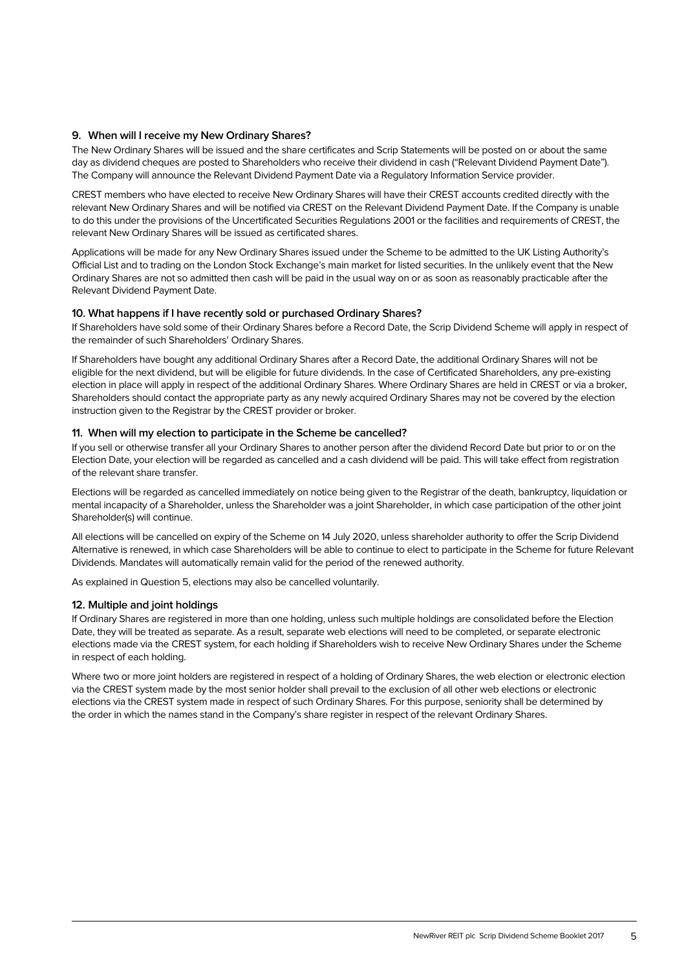# **9. When will I receive my New Ordinary Shares?**

The New Ordinary Shares will be issued and the share certificates and Scrip Statements will be posted on or about the same day as dividend cheques are posted to Shareholders who receive their dividend in cash ("Relevant Dividend Payment Date"). The Company will announce the Relevant Dividend Payment Date via a Regulatory Information Service provider.

CREST members who have elected to receive New Ordinary Shares will have their CREST accounts credited directly with the relevant New Ordinary Shares and will be notified via CREST on the Relevant Dividend Payment Date. If the Company is unable to do this under the provisions of the Uncertificated Securities Regulations 2001 or the facilities and requirements of CREST, the relevant New Ordinary Shares will be issued as certificated shares.

Applications will be made for any New Ordinary Shares issued under the Scheme to be admitted to the UK Listing Authority's Official List and to trading on the London Stock Exchange's main market for listed securities. In the unlikely event that the New Ordinary Shares are not so admitted then cash will be paid in the usual way on or as soon as reasonably practicable after the Relevant Dividend Payment Date.

# **10. What happens if I have recently sold or purchased Ordinary Shares?**

If Shareholders have sold some of their Ordinary Shares before a Record Date, the Scrip Dividend Scheme will apply in respect of the remainder of such Shareholders' Ordinary Shares.

If Shareholders have bought any additional Ordinary Shares after a Record Date, the additional Ordinary Shares will not be eligible for the next dividend, but will be eligible for future dividends. In the case of Certificated Shareholders, any pre-existing election in place will apply in respect of the additional Ordinary Shares. Where Ordinary Shares are held in CREST or via a broker, Shareholders should contact the appropriate party as any newly acquired Ordinary Shares may not be covered by the election instruction given to the Registrar by the CREST provider or broker.

# **11. When will my election to participate in the Scheme be cancelled?**

If you sell or otherwise transfer all your Ordinary Shares to another person after the dividend Record Date but prior to or on the Election Date, your election will be regarded as cancelled and a cash dividend will be paid. This will take effect from registration of the relevant share transfer.

Elections will be regarded as cancelled immediately on notice being given to the Registrar of the death, bankruptcy, liquidation or mental incapacity of a Shareholder, unless the Shareholder was a joint Shareholder, in which case participation of the other joint Shareholder(s) will continue.

All elections will be cancelled on expiry of the Scheme on 14 July 2020, unless shareholder authority to offer the Scrip Dividend Alternative is renewed, in which case Shareholders will be able to continue to elect to participate in the Scheme for future Relevant Dividends. Mandates will automatically remain valid for the period of the renewed authority.

As explained in Question 5, elections may also be cancelled voluntarily.

# **12. Multiple and joint holdings**

If Ordinary Shares are registered in more than one holding, unless such multiple holdings are consolidated before the Election Date, they will be treated as separate. As a result, separate web elections will need to be completed, or separate electronic elections made via the CREST system, for each holding if Shareholders wish to receive New Ordinary Shares under the Scheme in respect of each holding.

Where two or more joint holders are registered in respect of a holding of Ordinary Shares, the web election or electronic election via the CREST system made by the most senior holder shall prevail to the exclusion of all other web elections or electronic elections via the CREST system made in respect of such Ordinary Shares. For this purpose, seniority shall be determined by the order in which the names stand in the Company's share register in respect of the relevant Ordinary Shares.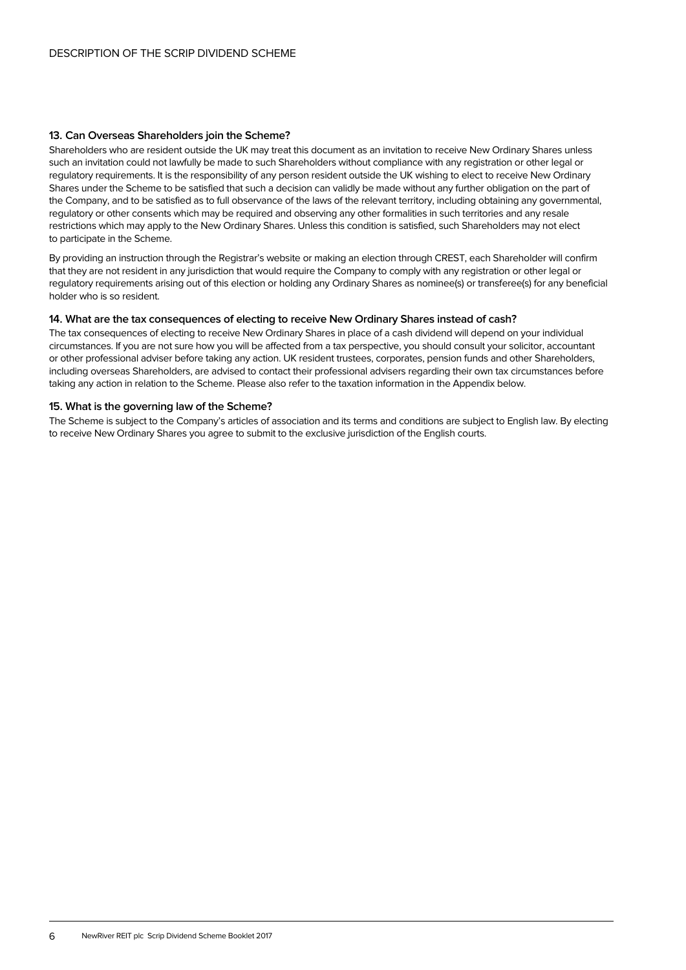# **13. Can Overseas Shareholders join the Scheme?**

Shareholders who are resident outside the UK may treat this document as an invitation to receive New Ordinary Shares unless such an invitation could not lawfully be made to such Shareholders without compliance with any registration or other legal or regulatory requirements. It is the responsibility of any person resident outside the UK wishing to elect to receive New Ordinary Shares under the Scheme to be satisfied that such a decision can validly be made without any further obligation on the part of the Company, and to be satisfied as to full observance of the laws of the relevant territory, including obtaining any governmental, regulatory or other consents which may be required and observing any other formalities in such territories and any resale restrictions which may apply to the New Ordinary Shares. Unless this condition is satisfied, such Shareholders may not elect to participate in the Scheme.

By providing an instruction through the Registrar's website or making an election through CREST, each Shareholder will confirm that they are not resident in any jurisdiction that would require the Company to comply with any registration or other legal or regulatory requirements arising out of this election or holding any Ordinary Shares as nominee(s) or transferee(s) for any beneficial holder who is so resident.

# **14. What are the tax consequences of electing to receive New Ordinary Shares instead of cash?**

The tax consequences of electing to receive New Ordinary Shares in place of a cash dividend will depend on your individual circumstances. If you are not sure how you will be affected from a tax perspective, you should consult your solicitor, accountant or other professional adviser before taking any action. UK resident trustees, corporates, pension funds and other Shareholders, including overseas Shareholders, are advised to contact their professional advisers regarding their own tax circumstances before taking any action in relation to the Scheme. Please also refer to the taxation information in the Appendix below.

# **15. What is the governing law of the Scheme?**

The Scheme is subject to the Company's articles of association and its terms and conditions are subject to English law. By electing to receive New Ordinary Shares you agree to submit to the exclusive jurisdiction of the English courts.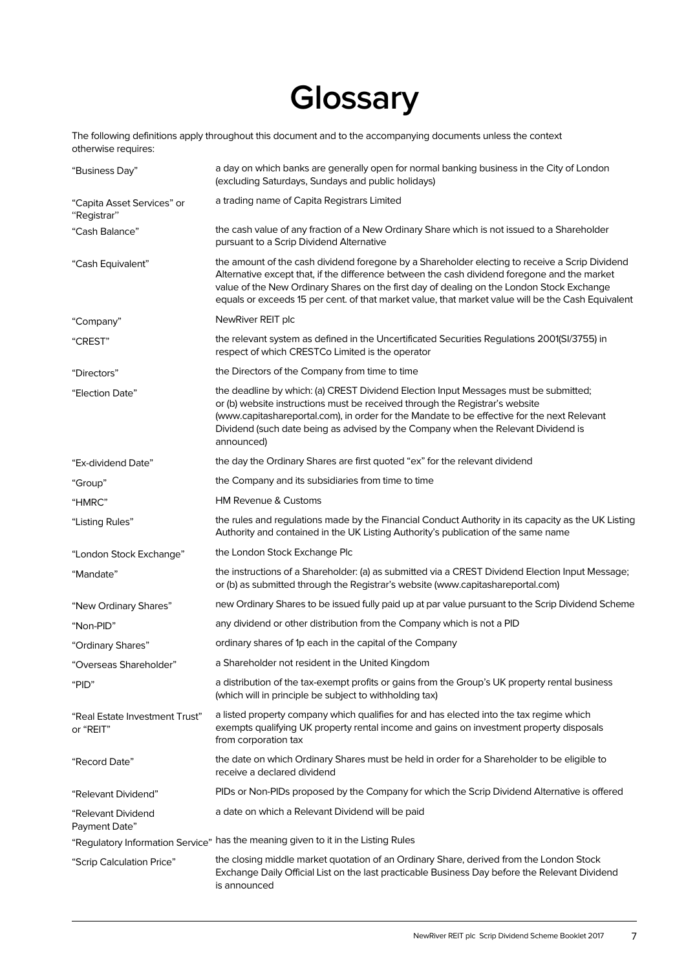# **Glossary**

The following definitions apply throughout this document and to the accompanying documents unless the context otherwise requires:

| "Business Day"                              | a day on which banks are generally open for normal banking business in the City of London<br>(excluding Saturdays, Sundays and public holidays)                                                                                                                                                                                                                                                   |
|---------------------------------------------|---------------------------------------------------------------------------------------------------------------------------------------------------------------------------------------------------------------------------------------------------------------------------------------------------------------------------------------------------------------------------------------------------|
| "Capita Asset Services" or<br>"Registrar"   | a trading name of Capita Registrars Limited                                                                                                                                                                                                                                                                                                                                                       |
| "Cash Balance"                              | the cash value of any fraction of a New Ordinary Share which is not issued to a Shareholder<br>pursuant to a Scrip Dividend Alternative                                                                                                                                                                                                                                                           |
| "Cash Equivalent"                           | the amount of the cash dividend foregone by a Shareholder electing to receive a Scrip Dividend<br>Alternative except that, if the difference between the cash dividend foregone and the market<br>value of the New Ordinary Shares on the first day of dealing on the London Stock Exchange<br>equals or exceeds 15 per cent. of that market value, that market value will be the Cash Equivalent |
| "Company"                                   | NewRiver REIT plc                                                                                                                                                                                                                                                                                                                                                                                 |
| "CREST"                                     | the relevant system as defined in the Uncertificated Securities Regulations 2001(SI/3755) in<br>respect of which CRESTCo Limited is the operator                                                                                                                                                                                                                                                  |
| "Directors"                                 | the Directors of the Company from time to time                                                                                                                                                                                                                                                                                                                                                    |
| "Election Date"                             | the deadline by which: (a) CREST Dividend Election Input Messages must be submitted;<br>or (b) website instructions must be received through the Registrar's website<br>(www.capitashareportal.com), in order for the Mandate to be effective for the next Relevant<br>Dividend (such date being as advised by the Company when the Relevant Dividend is<br>announced)                            |
| "Ex-dividend Date"                          | the day the Ordinary Shares are first quoted "ex" for the relevant dividend                                                                                                                                                                                                                                                                                                                       |
| "Group"                                     | the Company and its subsidiaries from time to time                                                                                                                                                                                                                                                                                                                                                |
| "HMRC"                                      | <b>HM Revenue &amp; Customs</b>                                                                                                                                                                                                                                                                                                                                                                   |
| "Listing Rules"                             | the rules and regulations made by the Financial Conduct Authority in its capacity as the UK Listing<br>Authority and contained in the UK Listing Authority's publication of the same name                                                                                                                                                                                                         |
| "London Stock Exchange"                     | the London Stock Exchange Plc                                                                                                                                                                                                                                                                                                                                                                     |
| "Mandate"                                   | the instructions of a Shareholder: (a) as submitted via a CREST Dividend Election Input Message;<br>or (b) as submitted through the Registrar's website (www.capitashareportal.com)                                                                                                                                                                                                               |
| "New Ordinary Shares"                       | new Ordinary Shares to be issued fully paid up at par value pursuant to the Scrip Dividend Scheme                                                                                                                                                                                                                                                                                                 |
| "Non-PID"                                   | any dividend or other distribution from the Company which is not a PID                                                                                                                                                                                                                                                                                                                            |
| "Ordinary Shares"                           | ordinary shares of 1p each in the capital of the Company                                                                                                                                                                                                                                                                                                                                          |
| "Overseas Shareholder"                      | a Shareholder not resident in the United Kingdom                                                                                                                                                                                                                                                                                                                                                  |
| "PID"                                       | a distribution of the tax-exempt profits or gains from the Group's UK property rental business<br>(which will in principle be subject to withholding tax)                                                                                                                                                                                                                                         |
| "Real Estate Investment Trust"<br>or "REIT" | a listed property company which qualifies for and has elected into the tax regime which<br>exempts qualifying UK property rental income and gains on investment property disposals<br>from corporation tax                                                                                                                                                                                        |
| "Record Date"                               | the date on which Ordinary Shares must be held in order for a Shareholder to be eligible to<br>receive a declared dividend                                                                                                                                                                                                                                                                        |
| "Relevant Dividend"                         | PIDs or Non-PIDs proposed by the Company for which the Scrip Dividend Alternative is offered                                                                                                                                                                                                                                                                                                      |
| "Relevant Dividend<br>Payment Date"         | a date on which a Relevant Dividend will be paid                                                                                                                                                                                                                                                                                                                                                  |
|                                             | "Regulatory Information Service" has the meaning given to it in the Listing Rules                                                                                                                                                                                                                                                                                                                 |
| "Scrip Calculation Price"                   | the closing middle market quotation of an Ordinary Share, derived from the London Stock<br>Exchange Daily Official List on the last practicable Business Day before the Relevant Dividend<br>is announced                                                                                                                                                                                         |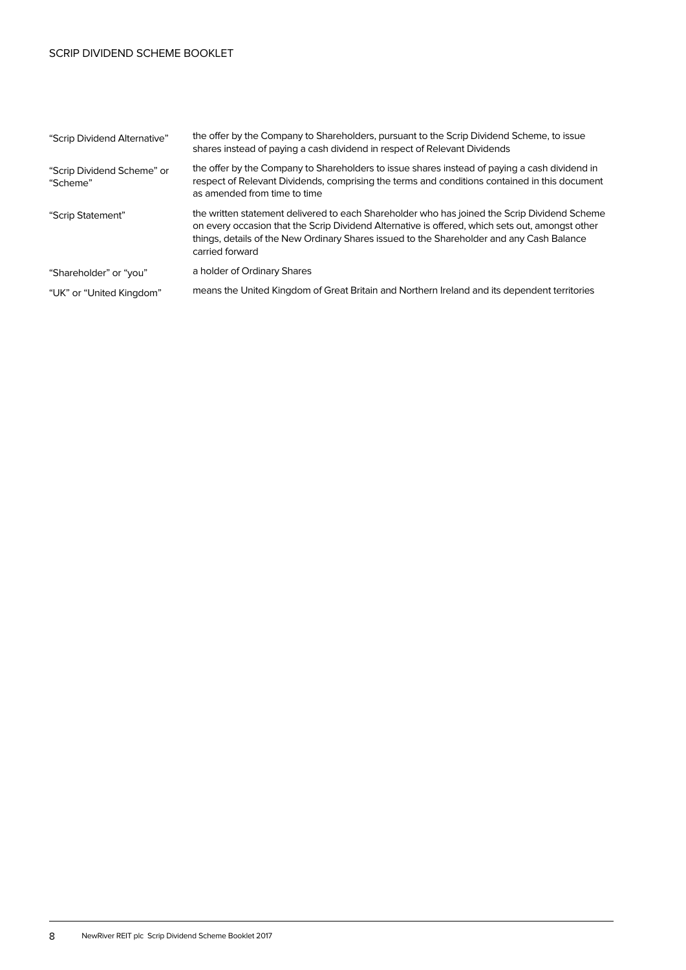# SCRIP DIVIDEND SCHEME BOOKLET

| "Scrip Dividend Alternative"           | the offer by the Company to Shareholders, pursuant to the Scrip Dividend Scheme, to issue<br>shares instead of paying a cash dividend in respect of Relevant Dividends                                                                                                                                          |
|----------------------------------------|-----------------------------------------------------------------------------------------------------------------------------------------------------------------------------------------------------------------------------------------------------------------------------------------------------------------|
| "Scrip Dividend Scheme" or<br>"Scheme" | the offer by the Company to Shareholders to issue shares instead of paying a cash dividend in<br>respect of Relevant Dividends, comprising the terms and conditions contained in this document<br>as amended from time to time                                                                                  |
| "Scrip Statement"                      | the written statement delivered to each Shareholder who has joined the Scrip Dividend Scheme<br>on every occasion that the Scrip Dividend Alternative is offered, which sets out, amongst other<br>things, details of the New Ordinary Shares issued to the Shareholder and any Cash Balance<br>carried forward |
| "Shareholder" or "you"                 | a holder of Ordinary Shares                                                                                                                                                                                                                                                                                     |
| "UK" or "United Kingdom"               | means the United Kingdom of Great Britain and Northern Ireland and its dependent territories                                                                                                                                                                                                                    |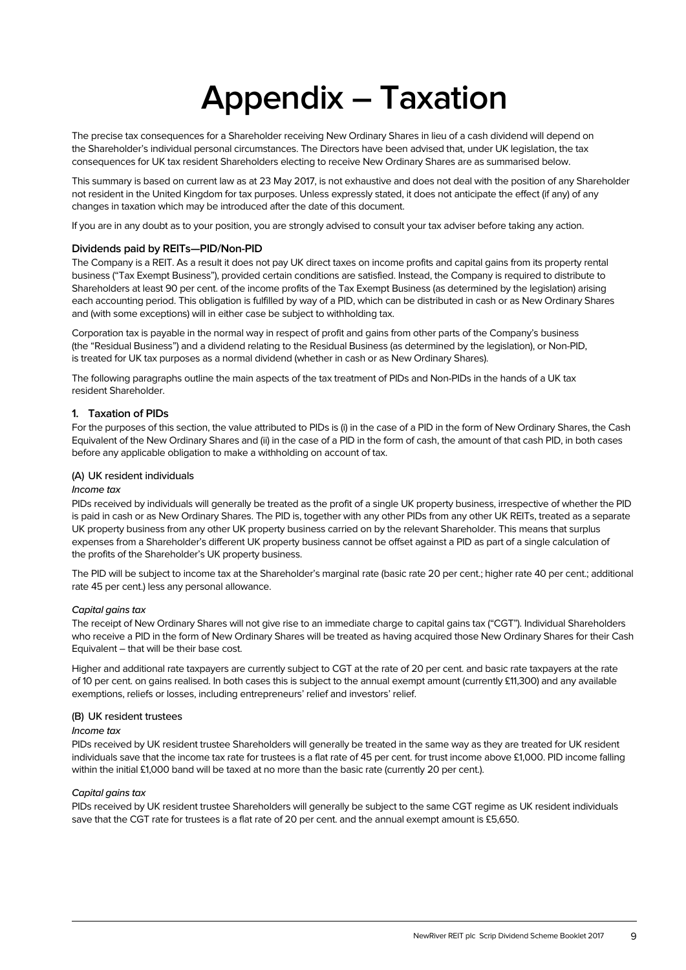# **Appendix – Taxation**

The precise tax consequences for a Shareholder receiving New Ordinary Shares in lieu of a cash dividend will depend on the Shareholder's individual personal circumstances. The Directors have been advised that, under UK legislation, the tax consequences for UK tax resident Shareholders electing to receive New Ordinary Shares are as summarised below.

This summary is based on current law as at 23 May 2017, is not exhaustive and does not deal with the position of any Shareholder not resident in the United Kingdom for tax purposes. Unless expressly stated, it does not anticipate the effect (if any) of any changes in taxation which may be introduced after the date of this document.

If you are in any doubt as to your position, you are strongly advised to consult your tax adviser before taking any action.

# **Dividends paid by REITs—PID/Non-PID**

The Company is a REIT. As a result it does not pay UK direct taxes on income profits and capital gains from its property rental business ("Tax Exempt Business"), provided certain conditions are satisfied. Instead, the Company is required to distribute to Shareholders at least 90 per cent. of the income profits of the Tax Exempt Business (as determined by the legislation) arising each accounting period. This obligation is fulfilled by way of a PID, which can be distributed in cash or as New Ordinary Shares and (with some exceptions) will in either case be subject to withholding tax.

Corporation tax is payable in the normal way in respect of profit and gains from other parts of the Company's business (the "Residual Business") and a dividend relating to the Residual Business (as determined by the legislation), or Non-PID, is treated for UK tax purposes as a normal dividend (whether in cash or as New Ordinary Shares).

The following paragraphs outline the main aspects of the tax treatment of PIDs and Non-PIDs in the hands of a UK tax resident Shareholder.

# **1. Taxation of PIDs**

For the purposes of this section, the value attributed to PIDs is (i) in the case of a PID in the form of New Ordinary Shares, the Cash Equivalent of the New Ordinary Shares and (ii) in the case of a PID in the form of cash, the amount of that cash PID, in both cases before any applicable obligation to make a withholding on account of tax.

# (A) UK resident individuals

# Income tax

PIDs received by individuals will generally be treated as the profit of a single UK property business, irrespective of whether the PID is paid in cash or as New Ordinary Shares. The PID is, together with any other PIDs from any other UK REITs, treated as a separate UK property business from any other UK property business carried on by the relevant Shareholder. This means that surplus expenses from a Shareholder's different UK property business cannot be offset against a PID as part of a single calculation of the profits of the Shareholder's UK property business.

The PID will be subject to income tax at the Shareholder's marginal rate (basic rate 20 per cent.; higher rate 40 per cent.; additional rate 45 per cent.) less any personal allowance.

# Capital gains tax

The receipt of New Ordinary Shares will not give rise to an immediate charge to capital gains tax ("CGT"). Individual Shareholders who receive a PID in the form of New Ordinary Shares will be treated as having acquired those New Ordinary Shares for their Cash Equivalent – that will be their base cost.

Higher and additional rate taxpayers are currently subject to CGT at the rate of 20 per cent. and basic rate taxpayers at the rate of 10 per cent. on gains realised. In both cases this is subject to the annual exempt amount (currently £11,300) and any available exemptions, reliefs or losses, including entrepreneurs' relief and investors' relief.

#### (B) UK resident trustees

# Income tax

PIDs received by UK resident trustee Shareholders will generally be treated in the same way as they are treated for UK resident individuals save that the income tax rate for trustees is a flat rate of 45 per cent. for trust income above £1,000. PID income falling within the initial £1,000 band will be taxed at no more than the basic rate (currently 20 per cent.).

# Capital gains tax

PIDs received by UK resident trustee Shareholders will generally be subject to the same CGT regime as UK resident individuals save that the CGT rate for trustees is a flat rate of 20 per cent. and the annual exempt amount is £5,650.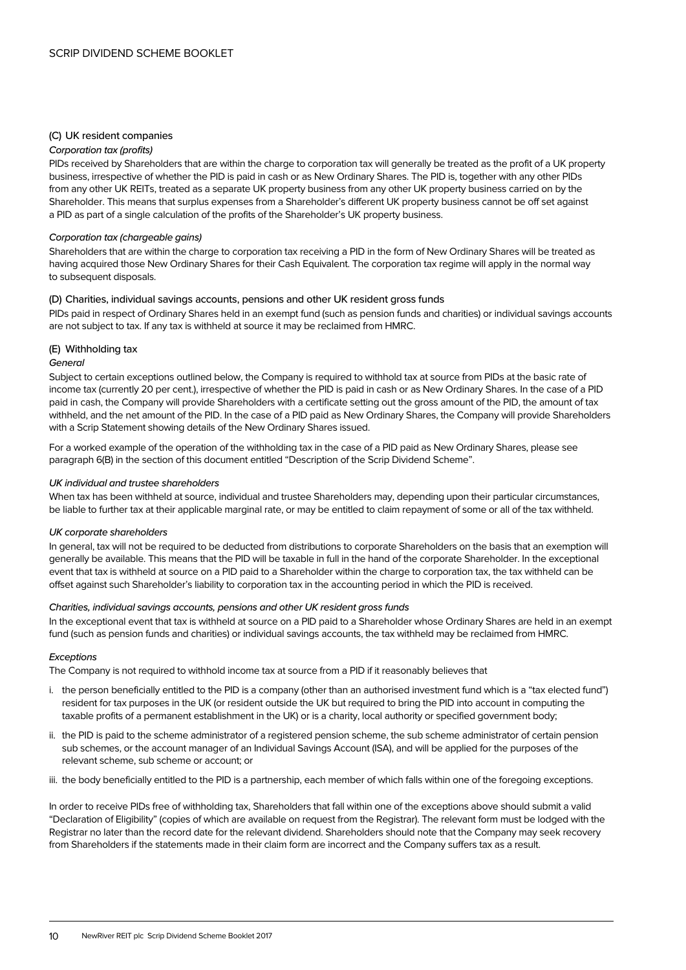# (C) UK resident companies

#### Corporation tax (profits)

PIDs received by Shareholders that are within the charge to corporation tax will generally be treated as the profit of a UK property business, irrespective of whether the PID is paid in cash or as New Ordinary Shares. The PID is, together with any other PIDs from any other UK REITs, treated as a separate UK property business from any other UK property business carried on by the Shareholder. This means that surplus expenses from a Shareholder's different UK property business cannot be off set against a PID as part of a single calculation of the profits of the Shareholder's UK property business.

#### Corporation tax (chargeable gains)

Shareholders that are within the charge to corporation tax receiving a PID in the form of New Ordinary Shares will be treated as having acquired those New Ordinary Shares for their Cash Equivalent. The corporation tax regime will apply in the normal way to subsequent disposals.

# (D) Charities, individual savings accounts, pensions and other UK resident gross funds

PIDs paid in respect of Ordinary Shares held in an exempt fund (such as pension funds and charities) or individual savings accounts are not subject to tax. If any tax is withheld at source it may be reclaimed from HMRC.

# (E) Withholding tax

#### General

Subject to certain exceptions outlined below, the Company is required to withhold tax at source from PIDs at the basic rate of income tax (currently 20 per cent.), irrespective of whether the PID is paid in cash or as New Ordinary Shares. In the case of a PID paid in cash, the Company will provide Shareholders with a certificate setting out the gross amount of the PID, the amount of tax withheld, and the net amount of the PID. In the case of a PID paid as New Ordinary Shares, the Company will provide Shareholders with a Scrip Statement showing details of the New Ordinary Shares issued.

For a worked example of the operation of the withholding tax in the case of a PID paid as New Ordinary Shares, please see paragraph 6(B) in the section of this document entitled "Description of the Scrip Dividend Scheme".

# UK individual and trustee shareholders

When tax has been withheld at source, individual and trustee Shareholders may, depending upon their particular circumstances, be liable to further tax at their applicable marginal rate, or may be entitled to claim repayment of some or all of the tax withheld.

#### UK corporate shareholders

In general, tax will not be required to be deducted from distributions to corporate Shareholders on the basis that an exemption will generally be available. This means that the PID will be taxable in full in the hand of the corporate Shareholder. In the exceptional event that tax is withheld at source on a PID paid to a Shareholder within the charge to corporation tax, the tax withheld can be offset against such Shareholder's liability to corporation tax in the accounting period in which the PID is received.

#### Charities, individual savings accounts, pensions and other UK resident gross funds

In the exceptional event that tax is withheld at source on a PID paid to a Shareholder whose Ordinary Shares are held in an exempt fund (such as pension funds and charities) or individual savings accounts, the tax withheld may be reclaimed from HMRC.

#### **Exceptions**

The Company is not required to withhold income tax at source from a PID if it reasonably believes that

- i. the person beneficially entitled to the PID is a company (other than an authorised investment fund which is a "tax elected fund") resident for tax purposes in the UK (or resident outside the UK but required to bring the PID into account in computing the taxable profits of a permanent establishment in the UK) or is a charity, local authority or specified government body;
- ii. the PID is paid to the scheme administrator of a registered pension scheme, the sub scheme administrator of certain pension sub schemes, or the account manager of an Individual Savings Account (ISA), and will be applied for the purposes of the relevant scheme, sub scheme or account; or
- iii. the body beneficially entitled to the PID is a partnership, each member of which falls within one of the foregoing exceptions.

In order to receive PIDs free of withholding tax, Shareholders that fall within one of the exceptions above should submit a valid "Declaration of Eligibility" (copies of which are available on request from the Registrar). The relevant form must be lodged with the Registrar no later than the record date for the relevant dividend. Shareholders should note that the Company may seek recovery from Shareholders if the statements made in their claim form are incorrect and the Company suffers tax as a result.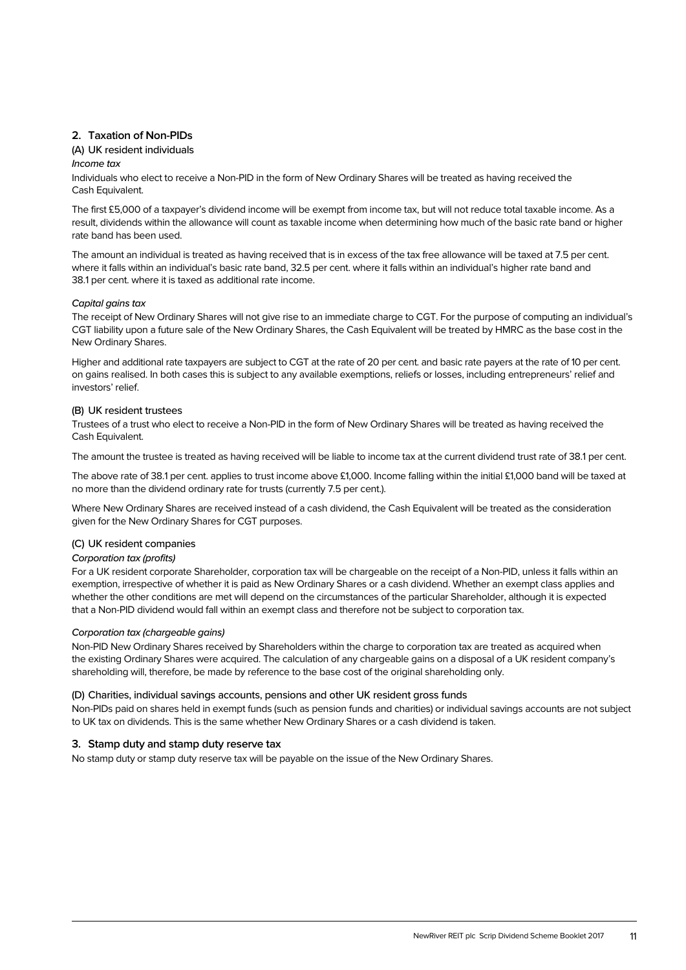# **2. Taxation of Non-PIDs**

# (A) UK resident individuals

# Income tax

Individuals who elect to receive a Non-PID in the form of New Ordinary Shares will be treated as having received the Cash Equivalent.

The first £5,000 of a taxpayer's dividend income will be exempt from income tax, but will not reduce total taxable income. As a result, dividends within the allowance will count as taxable income when determining how much of the basic rate band or higher rate band has been used.

The amount an individual is treated as having received that is in excess of the tax free allowance will be taxed at 7.5 per cent. where it falls within an individual's basic rate band, 32.5 per cent. where it falls within an individual's higher rate band and 38.1 per cent. where it is taxed as additional rate income.

# Capital gains tax

The receipt of New Ordinary Shares will not give rise to an immediate charge to CGT. For the purpose of computing an individual's CGT liability upon a future sale of the New Ordinary Shares, the Cash Equivalent will be treated by HMRC as the base cost in the New Ordinary Shares.

Higher and additional rate taxpayers are subject to CGT at the rate of 20 per cent. and basic rate payers at the rate of 10 per cent. on gains realised. In both cases this is subject to any available exemptions, reliefs or losses, including entrepreneurs' relief and investors' relief.

# (B) UK resident trustees

Trustees of a trust who elect to receive a Non-PID in the form of New Ordinary Shares will be treated as having received the Cash Equivalent.

The amount the trustee is treated as having received will be liable to income tax at the current dividend trust rate of 38.1 per cent.

The above rate of 38.1 per cent. applies to trust income above £1,000. Income falling within the initial £1,000 band will be taxed at no more than the dividend ordinary rate for trusts (currently 7.5 per cent.).

Where New Ordinary Shares are received instead of a cash dividend, the Cash Equivalent will be treated as the consideration given for the New Ordinary Shares for CGT purposes.

# (C) UK resident companies

# Corporation tax (profits)

For a UK resident corporate Shareholder, corporation tax will be chargeable on the receipt of a Non-PID, unless it falls within an exemption, irrespective of whether it is paid as New Ordinary Shares or a cash dividend. Whether an exempt class applies and whether the other conditions are met will depend on the circumstances of the particular Shareholder, although it is expected that a Non-PID dividend would fall within an exempt class and therefore not be subject to corporation tax.

# Corporation tax (chargeable gains)

Non-PID New Ordinary Shares received by Shareholders within the charge to corporation tax are treated as acquired when the existing Ordinary Shares were acquired. The calculation of any chargeable gains on a disposal of a UK resident company's shareholding will, therefore, be made by reference to the base cost of the original shareholding only.

# (D) Charities, individual savings accounts, pensions and other UK resident gross funds

Non-PIDs paid on shares held in exempt funds (such as pension funds and charities) or individual savings accounts are not subject to UK tax on dividends. This is the same whether New Ordinary Shares or a cash dividend is taken.

# **3. Stamp duty and stamp duty reserve tax**

No stamp duty or stamp duty reserve tax will be payable on the issue of the New Ordinary Shares.